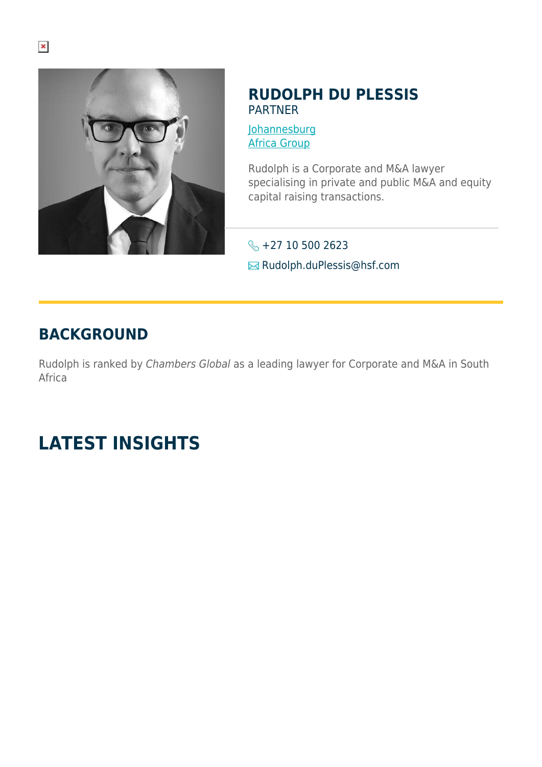

#### **RUDOLPH DU PLESSIS** PARTNER

**[Johannesburg](https://www.herbertsmithfreehills.com/lang-fr/where-we-work/johannesburg)** [Africa Group](https://www.herbertsmithfreehills.com/lang-fr/where-we-work/africa-group)

Rudolph is a Corporate and M&A lawyer specialising in private and public M&A and equity capital raising transactions.

 $\leftarrow$  +27 10 500 2623 **E** Rudolph.duPlessis@hsf.com

## **BACKGROUND**

Rudolph is ranked by Chambers Global as a leading lawyer for Corporate and M&A in South Africa

# **LATEST INSIGHTS**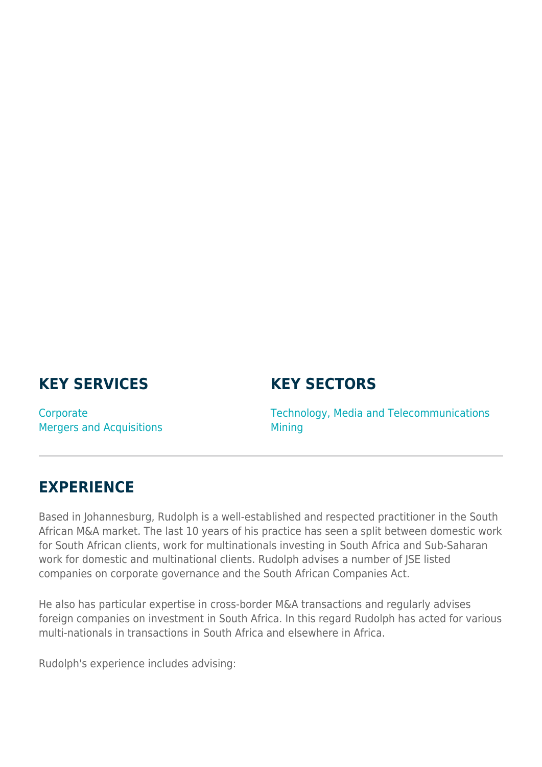## **KEY SERVICES**

#### **KEY SECTORS**

**Corporate** Mergers and Acquisitions Technology, Media and Telecommunications Mining

### **EXPERIENCE**

Based in Johannesburg, Rudolph is a well-established and respected practitioner in the South African M&A market. The last 10 years of his practice has seen a split between domestic work for South African clients, work for multinationals investing in South Africa and Sub-Saharan work for domestic and multinational clients. Rudolph advises a number of JSE listed companies on corporate governance and the South African Companies Act.

He also has particular expertise in cross-border M&A transactions and regularly advises foreign companies on investment in South Africa. In this regard Rudolph has acted for various multi-nationals in transactions in South Africa and elsewhere in Africa.

Rudolph's experience includes advising: